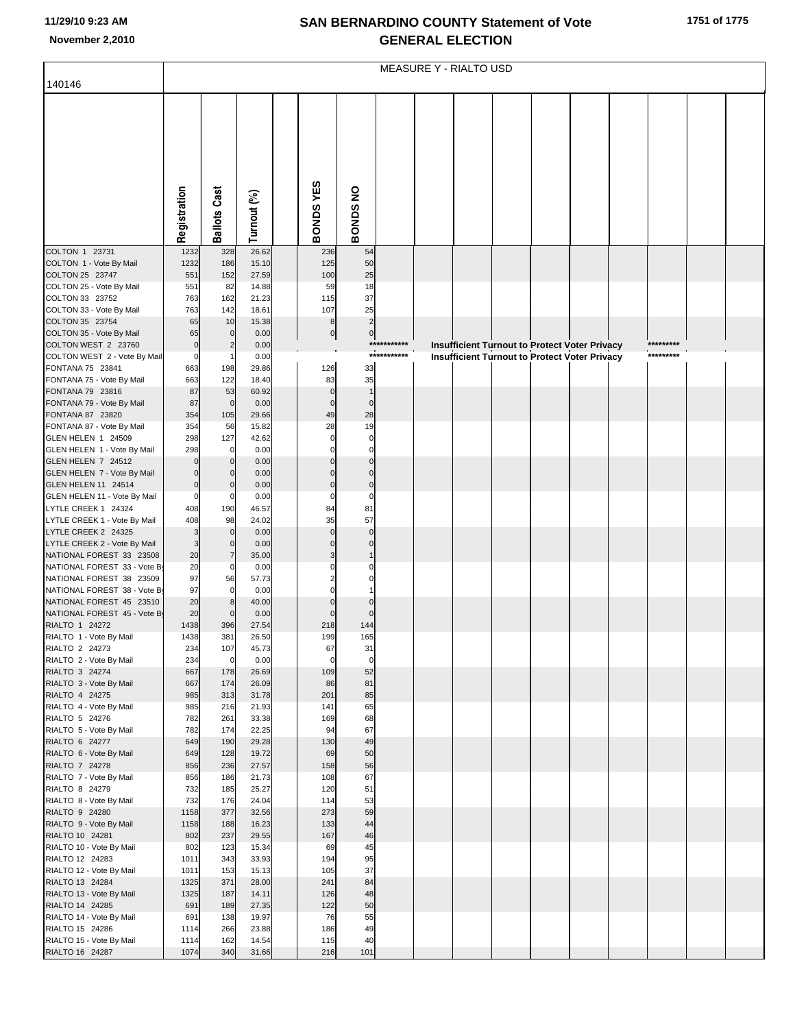## **SAN BERNARDINO COUNTY Statement of Vote November 2,2010 GENERAL ELECTION**

|                                                          |                    |                                  |                |                          |                             |             | <b>MEASURE Y - RIALTO USD</b> |  |                                                      |           |  |
|----------------------------------------------------------|--------------------|----------------------------------|----------------|--------------------------|-----------------------------|-------------|-------------------------------|--|------------------------------------------------------|-----------|--|
| 140146                                                   |                    |                                  |                |                          |                             |             |                               |  |                                                      |           |  |
|                                                          |                    |                                  |                |                          |                             |             |                               |  |                                                      |           |  |
|                                                          |                    |                                  |                |                          |                             |             |                               |  |                                                      |           |  |
|                                                          |                    |                                  |                |                          |                             |             |                               |  |                                                      |           |  |
|                                                          |                    |                                  |                |                          |                             |             |                               |  |                                                      |           |  |
|                                                          |                    |                                  |                |                          |                             |             |                               |  |                                                      |           |  |
|                                                          |                    |                                  |                |                          |                             |             |                               |  |                                                      |           |  |
|                                                          |                    |                                  |                |                          |                             |             |                               |  |                                                      |           |  |
|                                                          |                    |                                  |                |                          |                             |             |                               |  |                                                      |           |  |
|                                                          |                    |                                  |                |                          |                             |             |                               |  |                                                      |           |  |
|                                                          | Registration       | <b>Ballots Cast</b>              | Turnout (%)    | <b>BONDSYES</b>          | <b>BONDS NO</b>             |             |                               |  |                                                      |           |  |
|                                                          |                    |                                  |                |                          |                             |             |                               |  |                                                      |           |  |
| COLTON 1 23731                                           | 1232               | 328                              | 26.62          | 236                      | 54                          |             |                               |  |                                                      |           |  |
| COLTON 1 - Vote By Mail<br>COLTON 25 23747               | 1232<br>551        | 186<br>152                       | 15.10<br>27.59 | 125<br>100               | 50<br>25                    |             |                               |  |                                                      |           |  |
| COLTON 25 - Vote By Mail                                 | 551                | 82                               | 14.88          | 59                       | 18                          |             |                               |  |                                                      |           |  |
| COLTON 33 23752                                          | 763                | 162                              | 21.23          | 115                      | 37                          |             |                               |  |                                                      |           |  |
| COLTON 33 - Vote By Mail                                 | 763                | 142                              | 18.61          | 107                      | 25                          |             |                               |  |                                                      |           |  |
| COLTON 35 23754<br>COLTON 35 - Vote By Mail              | 65<br>65           | 10<br>$\mathbf 0$                | 15.38<br>0.00  | $\bf8$<br>$\overline{0}$ | $\overline{2}$<br>$\pmb{0}$ |             |                               |  |                                                      |           |  |
| COLTON WEST 2 23760                                      | $\pmb{0}$          | $\overline{2}$                   | 0.00           |                          |                             | ******      |                               |  | <b>Insufficient Turnout to Protect Voter Privacy</b> | ********* |  |
| COLTON WEST 2 - Vote By Mail                             | $\pmb{0}$          |                                  | 0.00           |                          |                             | *********** |                               |  | <b>Insufficient Turnout to Protect Voter Privacy</b> | ********* |  |
| FONTANA 75 23841                                         | 663                | 198                              | 29.86          | 126                      | 33                          |             |                               |  |                                                      |           |  |
| FONTANA 75 - Vote By Mail<br>FONTANA 79 23816            | 663<br>87          | 122<br>53                        | 18.40<br>60.92 | 83<br>$\mathbf 0$        | 35<br>$\mathbf{1}$          |             |                               |  |                                                      |           |  |
| FONTANA 79 - Vote By Mail                                | 87                 | $\mathbf 0$                      | 0.00           | $\mathbf 0$              | $\mathbf 0$                 |             |                               |  |                                                      |           |  |
| FONTANA 87 23820                                         | 354                | 105                              | 29.66          | 49                       | 28                          |             |                               |  |                                                      |           |  |
| FONTANA 87 - Vote By Mail                                | 354                | 56                               | 15.82          | 28                       | 19                          |             |                               |  |                                                      |           |  |
| GLEN HELEN 1 24509<br>GLEN HELEN 1 - Vote By Mail        | 298<br>298         | 127<br>$\overline{0}$            | 42.62<br>0.00  | $\mathbf 0$<br>$\Omega$  | $\mathbf 0$<br>$\Omega$     |             |                               |  |                                                      |           |  |
| GLEN HELEN 7 24512                                       | $\Omega$           | $\overline{0}$                   | 0.00           |                          |                             |             |                               |  |                                                      |           |  |
| GLEN HELEN 7 - Vote By Mail                              | $\mathbf 0$        | $\overline{0}$                   | 0.00           | $\Omega$                 | $\mathcal{C}$               |             |                               |  |                                                      |           |  |
| GLEN HELEN 11 24514                                      | $\mathbf 0$        | $\overline{0}$                   | 0.00           | $\Omega$                 | $\mathbf 0$                 |             |                               |  |                                                      |           |  |
| GLEN HELEN 11 - Vote By Mail<br>LYTLE CREEK 1 24324      | $\mathbf 0$<br>408 | $\overline{0}$<br>190            | 0.00<br>46.57  | $\mathbf 0$<br>84        | C<br>81                     |             |                               |  |                                                      |           |  |
| LYTLE CREEK 1 - Vote By Mail                             | 408                | 98                               | 24.02          | 35                       | 57                          |             |                               |  |                                                      |           |  |
| LYTLE CREEK 2 24325                                      | 3                  | $\overline{0}$                   | 0.00           | $\Omega$                 | $\mathcal{C}$               |             |                               |  |                                                      |           |  |
| LYTLE CREEK 2 - Vote By Mail                             | 3                  | $\overline{0}$                   | 0.00           |                          | $\mathcal{C}$               |             |                               |  |                                                      |           |  |
| NATIONAL FOREST 33 23508<br>NATIONAL FOREST 33 - Vote By | 20<br>20           | $\overline{7}$<br>$\overline{0}$ | 35.00<br>0.00  |                          |                             |             |                               |  |                                                      |           |  |
| NATIONAL FOREST 38 23509                                 | 97                 | 56                               | 57.73          |                          |                             |             |                               |  |                                                      |           |  |
| NATIONAL FOREST 38 - Vote By                             | 97                 | $\overline{0}$                   | 0.00           |                          |                             |             |                               |  |                                                      |           |  |
| NATIONAL FOREST 45 23510                                 | 20                 | 8                                | 40.00          |                          |                             |             |                               |  |                                                      |           |  |
| NATIONAL FOREST 45 - Vote By<br>RIALTO 1 24272           | 20<br>1438         | $\overline{0}$<br>396            | 0.00<br>27.54  | $\Omega$<br>218          | 144                         |             |                               |  |                                                      |           |  |
| RIALTO 1 - Vote By Mail                                  | 1438               | 381                              | 26.50          | 199                      | 165                         |             |                               |  |                                                      |           |  |
| RIALTO 2 24273                                           | 234                | 107                              | 45.73          | 67                       | 31                          |             |                               |  |                                                      |           |  |
| RIALTO 2 - Vote By Mail<br>RIALTO 3 24274                | 234<br>667         | $\overline{0}$<br>178            | 0.00<br>26.69  | $\mathbf 0$<br>109       | $\mathbf 0$<br>52           |             |                               |  |                                                      |           |  |
| RIALTO 3 - Vote By Mail                                  | 667                | 174                              | 26.09          | 86                       | 81                          |             |                               |  |                                                      |           |  |
| RIALTO 4 24275                                           | 985                | 313                              | 31.78          | 201                      | 85                          |             |                               |  |                                                      |           |  |
| RIALTO 4 - Vote By Mail                                  | 985                | 216                              | 21.93          | 141                      | 65                          |             |                               |  |                                                      |           |  |
| RIALTO 5 24276<br>RIALTO 5 - Vote By Mail                | 782<br>782         | 261<br>174                       | 33.38<br>22.25 | 169<br>94                | 68<br>67                    |             |                               |  |                                                      |           |  |
| RIALTO 6 24277                                           | 649                | 190                              | 29.28          | 130                      | 49                          |             |                               |  |                                                      |           |  |
| RIALTO 6 - Vote By Mail                                  | 649                | 128                              | 19.72          | 69                       | 50                          |             |                               |  |                                                      |           |  |
| RIALTO 7 24278                                           | 856                | 236                              | 27.57          | 158                      | 56                          |             |                               |  |                                                      |           |  |
| RIALTO 7 - Vote By Mail<br>RIALTO 8 24279                | 856<br>732         | 186<br>185                       | 21.73<br>25.27 | 108<br>120               | 67<br>51                    |             |                               |  |                                                      |           |  |
| RIALTO 8 - Vote By Mail                                  | 732                | 176                              | 24.04          | 114                      | 53                          |             |                               |  |                                                      |           |  |
| RIALTO 9 24280                                           | 1158               | 377                              | 32.56          | 273                      | 59                          |             |                               |  |                                                      |           |  |
| RIALTO 9 - Vote By Mail                                  | 1158               | 188                              | 16.23          | 133                      | 44                          |             |                               |  |                                                      |           |  |
| RIALTO 10 24281<br>RIALTO 10 - Vote By Mail              | 802<br>802         | 237<br>123                       | 29.55<br>15.34 | 167<br>69                | 46<br>45                    |             |                               |  |                                                      |           |  |
| RIALTO 12 24283                                          | 1011               | 343                              | 33.93          | 194                      | 95                          |             |                               |  |                                                      |           |  |
| RIALTO 12 - Vote By Mail                                 | 1011               | 153                              | 15.13          | 105                      | 37                          |             |                               |  |                                                      |           |  |
| RIALTO 13 24284                                          | 1325               | 371                              | 28.00          | 241                      | 84                          |             |                               |  |                                                      |           |  |
| RIALTO 13 - Vote By Mail<br>RIALTO 14 24285              | 1325<br>691        | 187<br>189                       | 14.11<br>27.35 | 126<br>122               | 48<br>50                    |             |                               |  |                                                      |           |  |
| RIALTO 14 - Vote By Mail                                 | 691                | 138                              | 19.97          | 76                       | 55                          |             |                               |  |                                                      |           |  |
| RIALTO 15 24286                                          | 1114               | 266                              | 23.88          | 186                      | 49                          |             |                               |  |                                                      |           |  |
| RIALTO 15 - Vote By Mail                                 | 1114               | 162                              | 14.54          | 115                      | 40                          |             |                               |  |                                                      |           |  |
| RIALTO 16 24287                                          | 1074               | 340                              | 31.66          | 216                      | 101                         |             |                               |  |                                                      |           |  |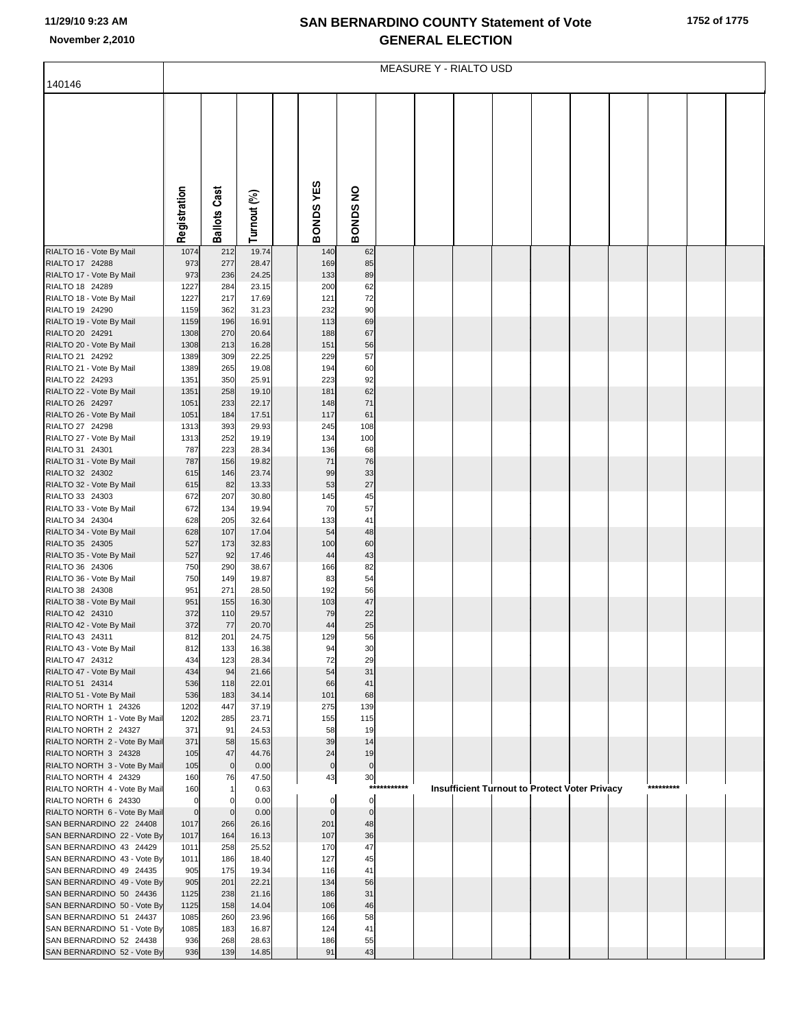## **SAN BERNARDINO COUNTY Statement of Vote November 2,2010 GENERAL ELECTION**

|                                                          | <b>MEASURE Y - RIALTO USD</b> |                     |                |  |                     |                 |             |  |                                                      |  |  |  |  |           |  |
|----------------------------------------------------------|-------------------------------|---------------------|----------------|--|---------------------|-----------------|-------------|--|------------------------------------------------------|--|--|--|--|-----------|--|
| 140146                                                   |                               |                     |                |  |                     |                 |             |  |                                                      |  |  |  |  |           |  |
|                                                          |                               |                     |                |  |                     |                 |             |  |                                                      |  |  |  |  |           |  |
|                                                          |                               |                     |                |  |                     |                 |             |  |                                                      |  |  |  |  |           |  |
|                                                          |                               |                     |                |  |                     |                 |             |  |                                                      |  |  |  |  |           |  |
|                                                          |                               |                     |                |  |                     |                 |             |  |                                                      |  |  |  |  |           |  |
|                                                          |                               |                     |                |  |                     |                 |             |  |                                                      |  |  |  |  |           |  |
|                                                          |                               |                     |                |  |                     |                 |             |  |                                                      |  |  |  |  |           |  |
|                                                          |                               |                     |                |  |                     |                 |             |  |                                                      |  |  |  |  |           |  |
|                                                          |                               |                     |                |  |                     |                 |             |  |                                                      |  |  |  |  |           |  |
|                                                          | Registration                  | <b>Ballots Cast</b> | Turnout (%)    |  | BONDS YES           | BONDS NO        |             |  |                                                      |  |  |  |  |           |  |
|                                                          |                               |                     |                |  |                     |                 |             |  |                                                      |  |  |  |  |           |  |
| RIALTO 16 - Vote By Mail                                 | 1074                          | 212                 | 19.74          |  | 140                 | 62              |             |  |                                                      |  |  |  |  |           |  |
| RIALTO 17 24288<br>RIALTO 17 - Vote By Mail              | 973<br>973                    | 277<br>236          | 28.47<br>24.25 |  | 169<br>133          | 85<br>89        |             |  |                                                      |  |  |  |  |           |  |
| RIALTO 18 24289                                          | 1227                          | 284                 | 23.15          |  | 200                 | 62              |             |  |                                                      |  |  |  |  |           |  |
| RIALTO 18 - Vote By Mail                                 | 1227                          | 217                 | 17.69          |  | 121                 | 72              |             |  |                                                      |  |  |  |  |           |  |
| RIALTO 19 24290                                          | 1159                          | 362                 | 31.23          |  | 232                 | 90              |             |  |                                                      |  |  |  |  |           |  |
| RIALTO 19 - Vote By Mail<br>RIALTO 20 24291              | 1159<br>1308                  | 196<br>270          | 16.91<br>20.64 |  | 113<br>188          | 69<br>67        |             |  |                                                      |  |  |  |  |           |  |
| RIALTO 20 - Vote By Mail                                 | 1308                          | 213                 | 16.28          |  | 151                 | 56              |             |  |                                                      |  |  |  |  |           |  |
| RIALTO 21 24292                                          | 1389                          | 309                 | 22.25          |  | 229                 | 57              |             |  |                                                      |  |  |  |  |           |  |
| RIALTO 21 - Vote By Mail                                 | 1389                          | 265                 | 19.08          |  | 194                 | 60              |             |  |                                                      |  |  |  |  |           |  |
| RIALTO 22 24293<br>RIALTO 22 - Vote By Mail              | 1351<br>1351                  | 350<br>258          | 25.91<br>19.10 |  | 223<br>181          | 92<br>62        |             |  |                                                      |  |  |  |  |           |  |
| RIALTO 26 24297                                          | 1051                          | 233                 | 22.17          |  | 148                 | 71              |             |  |                                                      |  |  |  |  |           |  |
| RIALTO 26 - Vote By Mail                                 | 1051                          | 184                 | 17.51          |  | 117                 | 61              |             |  |                                                      |  |  |  |  |           |  |
| RIALTO 27 24298                                          | 1313                          | 393                 | 29.93          |  | 245                 | 108             |             |  |                                                      |  |  |  |  |           |  |
| RIALTO 27 - Vote By Mail<br>RIALTO 31 24301              | 1313<br>787                   | 252<br>223          | 19.19<br>28.34 |  | 134<br>136          | 100<br>68       |             |  |                                                      |  |  |  |  |           |  |
| RIALTO 31 - Vote By Mail                                 | 787                           | 156                 | 19.82          |  | 71                  | 76              |             |  |                                                      |  |  |  |  |           |  |
| RIALTO 32 24302                                          | 615                           | 146                 | 23.74          |  | 99                  | 33              |             |  |                                                      |  |  |  |  |           |  |
| RIALTO 32 - Vote By Mail                                 | 615                           | 82                  | 13.33          |  | 53                  | 27              |             |  |                                                      |  |  |  |  |           |  |
| RIALTO 33 24303<br>RIALTO 33 - Vote By Mail              | 672<br>672                    | 207<br>134          | 30.80<br>19.94 |  | 145<br>70           | 45<br>57        |             |  |                                                      |  |  |  |  |           |  |
| RIALTO 34 24304                                          | 628                           | 205                 | 32.64          |  | 133                 | 41              |             |  |                                                      |  |  |  |  |           |  |
| RIALTO 34 - Vote By Mail                                 | 628                           | 107                 | 17.04          |  | 54                  | 48              |             |  |                                                      |  |  |  |  |           |  |
| RIALTO 35 24305                                          | 527                           | 173                 | 32.83          |  | 100                 | 60              |             |  |                                                      |  |  |  |  |           |  |
| RIALTO 35 - Vote By Mail<br>RIALTO 36 24306              | 527<br>750                    | 92<br>290           | 17.46<br>38.67 |  | 44<br>166           | 43<br>82        |             |  |                                                      |  |  |  |  |           |  |
| RIALTO 36 - Vote By Mail                                 | 750                           | 149                 | 19.87          |  | 83                  | 54              |             |  |                                                      |  |  |  |  |           |  |
| RIALTO 38 24308                                          | 951                           | 271                 | 28.50          |  | 192                 | 56              |             |  |                                                      |  |  |  |  |           |  |
| RIALTO 38 - Vote By Mail<br>RIALTO 42 24310              | 951<br>372                    | 155<br>110          | 16.30<br>29.57 |  | 103<br>79           | 47<br>22        |             |  |                                                      |  |  |  |  |           |  |
| RIALTO 42 - Vote By Mail                                 | 372                           | 77                  | 20.70          |  | 44                  | 25              |             |  |                                                      |  |  |  |  |           |  |
| RIALTO 43 24311                                          | 812                           | 201                 | 24.75          |  | 129                 | 56              |             |  |                                                      |  |  |  |  |           |  |
| RIALTO 43 - Vote By Mail                                 | 812                           | 133                 | 16.38          |  | 94                  | 30              |             |  |                                                      |  |  |  |  |           |  |
| RIALTO 47 24312<br>RIALTO 47 - Vote By Mail              | 434<br>434                    | 123<br>94           | 28.34<br>21.66 |  | 72<br>54            | 29<br>31        |             |  |                                                      |  |  |  |  |           |  |
| RIALTO 51 24314                                          | 536                           | 118                 | 22.01          |  | 66                  | 41              |             |  |                                                      |  |  |  |  |           |  |
| RIALTO 51 - Vote By Mail                                 | 536                           | 183                 | 34.14          |  | 101                 | 68              |             |  |                                                      |  |  |  |  |           |  |
| RIALTO NORTH 1 24326<br>RIALTO NORTH 1 - Vote By Mail    | 1202<br>1202                  | 447<br>285          | 37.19<br>23.71 |  | 275<br>155          | 139<br>115      |             |  |                                                      |  |  |  |  |           |  |
| RIALTO NORTH 2 24327                                     | 371                           | 91                  | 24.53          |  | 58                  | 19              |             |  |                                                      |  |  |  |  |           |  |
| RIALTO NORTH 2 - Vote By Mail                            | 371                           | 58                  | 15.63          |  | 39                  | 14              |             |  |                                                      |  |  |  |  |           |  |
| RIALTO NORTH 3 24328                                     | 105                           | 47                  | 44.76          |  | 24                  | 19              |             |  |                                                      |  |  |  |  |           |  |
| RIALTO NORTH 3 - Vote By Mail<br>RIALTO NORTH 4 24329    | 105<br>160                    | $\mathbf 0$<br>76   | 0.00<br>47.50  |  | $\pmb{0}$<br>43     | $\pmb{0}$<br>30 |             |  |                                                      |  |  |  |  |           |  |
| RIALTO NORTH 4 - Vote By Mail                            | 160                           |                     | 0.63           |  |                     |                 | *********** |  | <b>Insufficient Turnout to Protect Voter Privacy</b> |  |  |  |  | ********* |  |
| RIALTO NORTH 6 24330                                     | $\mathbf 0$                   | $\Omega$            | 0.00           |  | 0                   | $\mathbf 0$     |             |  |                                                      |  |  |  |  |           |  |
| RIALTO NORTH 6 - Vote By Mail<br>SAN BERNARDINO 22 24408 | $\overline{0}$<br>1017        | $\mathbf 0$<br>266  | 0.00<br>26.16  |  | $\mathsf{C}$<br>201 | $\Omega$<br>48  |             |  |                                                      |  |  |  |  |           |  |
| SAN BERNARDINO 22 - Vote By                              | 1017                          | 164                 | 16.13          |  | 107                 | 36              |             |  |                                                      |  |  |  |  |           |  |
| SAN BERNARDINO 43 24429                                  | 1011                          | 258                 | 25.52          |  | 170                 | 47              |             |  |                                                      |  |  |  |  |           |  |
| SAN BERNARDINO 43 - Vote By                              | 1011                          | 186                 | 18.40          |  | 127                 | 45              |             |  |                                                      |  |  |  |  |           |  |
| SAN BERNARDINO 49 24435<br>SAN BERNARDINO 49 - Vote By   | 905<br>905                    | 175<br>201          | 19.34<br>22.21 |  | 116<br>134          | 41<br>56        |             |  |                                                      |  |  |  |  |           |  |
| SAN BERNARDINO 50 24436                                  | 1125                          | 238                 | 21.16          |  | 186                 | 31              |             |  |                                                      |  |  |  |  |           |  |
| SAN BERNARDINO 50 - Vote By                              | 1125                          | 158                 | 14.04          |  | 106                 | 46              |             |  |                                                      |  |  |  |  |           |  |
| SAN BERNARDINO 51 24437                                  | 1085                          | 260                 | 23.96          |  | 166                 | 58              |             |  |                                                      |  |  |  |  |           |  |
| SAN BERNARDINO 51 - Vote By<br>SAN BERNARDINO 52 24438   | 1085<br>936                   | 183<br>268          | 16.87<br>28.63 |  | 124<br>186          | 41<br>55        |             |  |                                                      |  |  |  |  |           |  |
| SAN BERNARDINO 52 - Vote By                              | 936                           | 139                 | 14.85          |  | 91                  | 43              |             |  |                                                      |  |  |  |  |           |  |